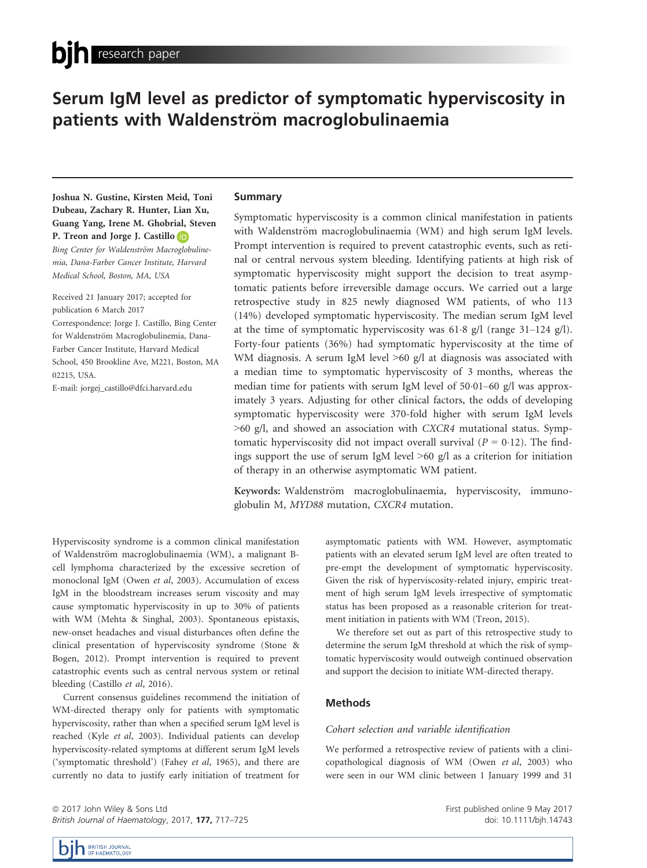# Serum IgM level as predictor of symptomatic hyperviscosity in patients with Waldenström macroglobulinaemia

Joshua N. Gustine, Kirsten Meid, Toni Dubeau, Zachary R. Hunter, Lian Xu, Guang Yang, Irene M. Ghobrial, Steven P. Treon and Jorge J. Castillo

Bing Center for Waldenström Macr[oglo](http://orcid.org/0000-0001-9490-7532)bulinemia, Dana-Farber Cancer Institute, Harvard Medical School, Boston, MA, USA

Received 21 January 2017; accepted for publication 6 March 2017 Correspondence: Jorge J. Castillo, Bing Center

for Waldenström Macroglobulinemia, Dana-Farber Cancer Institute, Harvard Medical School, 450 Brookline Ave, M221, Boston, MA 02215, USA.

E-mail: jorgej\_castillo@dfci.harvard.edu

# Summary

Symptomatic hyperviscosity is a common clinical manifestation in patients with Waldenström macroglobulinaemia (WM) and high serum IgM levels. Prompt intervention is required to prevent catastrophic events, such as retinal or central nervous system bleeding. Identifying patients at high risk of symptomatic hyperviscosity might support the decision to treat asymptomatic patients before irreversible damage occurs. We carried out a large retrospective study in 825 newly diagnosed WM patients, of who 113 (14%) developed symptomatic hyperviscosity. The median serum IgM level at the time of symptomatic hyperviscosity was  $61.8$  g/l (range  $31-124$  g/l). Forty-four patients (36%) had symptomatic hyperviscosity at the time of WM diagnosis. A serum IgM level  $>60$  g/l at diagnosis was associated with a median time to symptomatic hyperviscosity of 3 months, whereas the median time for patients with serum IgM level of  $50.01-60$  g/l was approximately 3 years. Adjusting for other clinical factors, the odds of developing symptomatic hyperviscosity were 370-fold higher with serum IgM levels >60 g/l, and showed an association with CXCR4 mutational status. Symptomatic hyperviscosity did not impact overall survival ( $P = 0.12$ ). The findings support the use of serum IgM level  $\geq 60$  g/l as a criterion for initiation of therapy in an otherwise asymptomatic WM patient.

Keywords: Waldenström macroglobulinaemia, hyperviscosity, immunoglobulin M, MYD88 mutation, CXCR4 mutation.

Hyperviscosity syndrome is a common clinical manifestation of Waldenström macroglobulinaemia (WM), a malignant Bcell lymphoma characterized by the excessive secretion of monoclonal IgM (Owen et al, 2003). Accumulation of excess IgM in the bloodstream increases serum viscosity and may cause symptomatic hyperviscosity in up to 30% of patients with WM (Mehta & Singhal, 2003). Spontaneous epistaxis, new-onset headaches and visual disturbances often define the clinical presentation of hyperviscosity syndrome (Stone & Bogen, 2012). Prompt intervention is required to prevent catastrophic events such as central nervous system or retinal bleeding (Castillo et al, 2016).

Current consensus guidelines recommend the initiation of WM-directed therapy only for patients with symptomatic hyperviscosity, rather than when a specified serum IgM level is reached (Kyle et al, 2003). Individual patients can develop hyperviscosity-related symptoms at different serum IgM levels ('symptomatic threshold') (Fahey et al, 1965), and there are currently no data to justify early initiation of treatment for

asymptomatic patients with WM. However, asymptomatic patients with an elevated serum IgM level are often treated to pre-empt the development of symptomatic hyperviscosity. Given the risk of hyperviscosity-related injury, empiric treatment of high serum IgM levels irrespective of symptomatic status has been proposed as a reasonable criterion for treatment initiation in patients with WM (Treon, 2015).

We therefore set out as part of this retrospective study to determine the serum IgM threshold at which the risk of symptomatic hyperviscosity would outweigh continued observation and support the decision to initiate WM-directed therapy.

# Methods

#### Cohort selection and variable identification

We performed a retrospective review of patients with a clinicopathological diagnosis of WM (Owen et al, 2003) who were seen in our WM clinic between 1 January 1999 and 31

ª 2017 John Wiley & Sons Ltd British Journal of Haematology, 2017, 177, 717-725 First published online 9 May 2017 doi: 10.1111/bjh.14743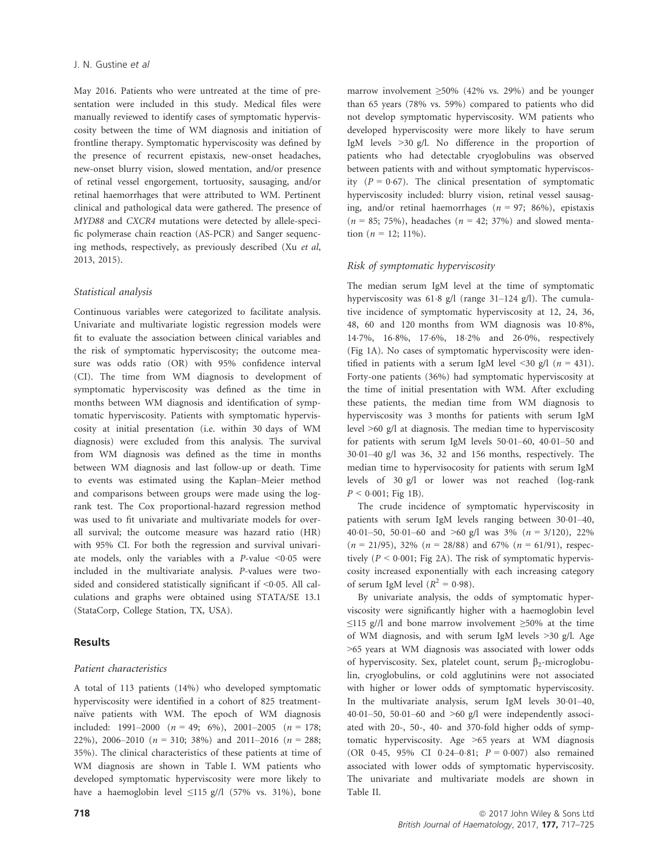May 2016. Patients who were untreated at the time of presentation were included in this study. Medical files were manually reviewed to identify cases of symptomatic hyperviscosity between the time of WM diagnosis and initiation of frontline therapy. Symptomatic hyperviscosity was defined by the presence of recurrent epistaxis, new-onset headaches, new-onset blurry vision, slowed mentation, and/or presence of retinal vessel engorgement, tortuosity, sausaging, and/or retinal haemorrhages that were attributed to WM. Pertinent clinical and pathological data were gathered. The presence of MYD88 and CXCR4 mutations were detected by allele-specific polymerase chain reaction (AS-PCR) and Sanger sequencing methods, respectively, as previously described (Xu et al, 2013, 2015).

## Statistical analysis

Continuous variables were categorized to facilitate analysis. Univariate and multivariate logistic regression models were fit to evaluate the association between clinical variables and the risk of symptomatic hyperviscosity; the outcome measure was odds ratio (OR) with 95% confidence interval (CI). The time from WM diagnosis to development of symptomatic hyperviscosity was defined as the time in months between WM diagnosis and identification of symptomatic hyperviscosity. Patients with symptomatic hyperviscosity at initial presentation (i.e. within 30 days of WM diagnosis) were excluded from this analysis. The survival from WM diagnosis was defined as the time in months between WM diagnosis and last follow-up or death. Time to events was estimated using the Kaplan–Meier method and comparisons between groups were made using the logrank test. The Cox proportional-hazard regression method was used to fit univariate and multivariate models for overall survival; the outcome measure was hazard ratio (HR) with 95% CI. For both the regression and survival univariate models, only the variables with a  $P$ -value <0.05 were included in the multivariate analysis. P-values were twosided and considered statistically significant if  $\leq 0.05$ . All calculations and graphs were obtained using STATA/SE 13.1 (StataCorp, College Station, TX, USA).

## Results

## Patient characteristics

A total of 113 patients (14%) who developed symptomatic hyperviscosity were identified in a cohort of 825 treatmentnaïve patients with WM. The epoch of WM diagnosis included: 1991–2000  $(n = 49; 6\%)$ , 2001–2005  $(n = 178;$ 22%), 2006–2010 ( $n = 310$ ; 38%) and 2011–2016 ( $n = 288$ ; 35%). The clinical characteristics of these patients at time of WM diagnosis are shown in Table I. WM patients who developed symptomatic hyperviscosity were more likely to have a haemoglobin level  $\leq$ 115 g//l (57% vs. 31%), bone marrow involvement ≥50% (42% vs. 29%) and be younger than 65 years (78% vs. 59%) compared to patients who did not develop symptomatic hyperviscosity. WM patients who developed hyperviscosity were more likely to have serum IgM levels >30 g/l. No difference in the proportion of patients who had detectable cryoglobulins was observed between patients with and without symptomatic hyperviscosity  $(P = 0.67)$ . The clinical presentation of symptomatic hyperviscosity included: blurry vision, retinal vessel sausaging, and/or retinal haemorrhages ( $n = 97$ ; 86%), epistaxis  $(n = 85; 75%)$ , headaches  $(n = 42; 37%)$  and slowed mentation ( $n = 12$ ; 11%).

## Risk of symptomatic hyperviscosity

The median serum IgM level at the time of symptomatic hyperviscosity was 61.8 g/l (range 31-124 g/l). The cumulative incidence of symptomatic hyperviscosity at 12, 24, 36, 48, 60 and 120 months from WM diagnosis was 108%, 147%, 168%, 176%, 182% and 260%, respectively (Fig 1A). No cases of symptomatic hyperviscosity were identified in patients with a serum IgM level <30 g/l ( $n = 431$ ). Forty-one patients (36%) had symptomatic hyperviscosity at the time of initial presentation with WM. After excluding these patients, the median time from WM diagnosis to hyperviscosity was 3 months for patients with serum IgM level >60 g/l at diagnosis. The median time to hyperviscosity for patients with serum IgM levels  $50.01-60$ ,  $40.01-50$  and  $30.01-40$  g/l was  $36$ ,  $32$  and  $156$  months, respectively. The median time to hypervisocosity for patients with serum IgM levels of 30 g/l or lower was not reached (log-rank  $P < 0.001$ ; Fig 1B).

The crude incidence of symptomatic hyperviscosity in patients with serum IgM levels ranging between  $30.01-40$ , 40.01–50, 50.01–60 and >60 g/l was  $3\%$  ( $n = 3/120$ ), 22%  $(n = 21/95)$ , 32%  $(n = 28/88)$  and 67%  $(n = 61/91)$ , respectively ( $P \le 0.001$ ; Fig 2A). The risk of symptomatic hyperviscosity increased exponentially with each increasing category of serum IgM level  $(R^2 = 0.98)$ .

By univariate analysis, the odds of symptomatic hyperviscosity were significantly higher with a haemoglobin level  $\leq$ 115 g//l and bone marrow involvement  $\geq$ 50% at the time of WM diagnosis, and with serum IgM levels >30 g/l. Age >65 years at WM diagnosis was associated with lower odds of hyperviscosity. Sex, platelet count, serum  $\beta_2$ -microglobulin, cryoglobulins, or cold agglutinins were not associated with higher or lower odds of symptomatic hyperviscosity. In the multivariate analysis, serum IgM levels  $30.01-40$ , 40 $\cdot$ 01–50, 50 $\cdot$ 01–60 and >60 g/l were independently associated with 20-, 50-, 40- and 370-fold higher odds of symptomatic hyperviscosity. Age >65 years at WM diagnosis (OR 0.45, 95% CI 0.24-0.81;  $P = 0.007$ ) also remained associated with lower odds of symptomatic hyperviscosity. The univariate and multivariate models are shown in Table II.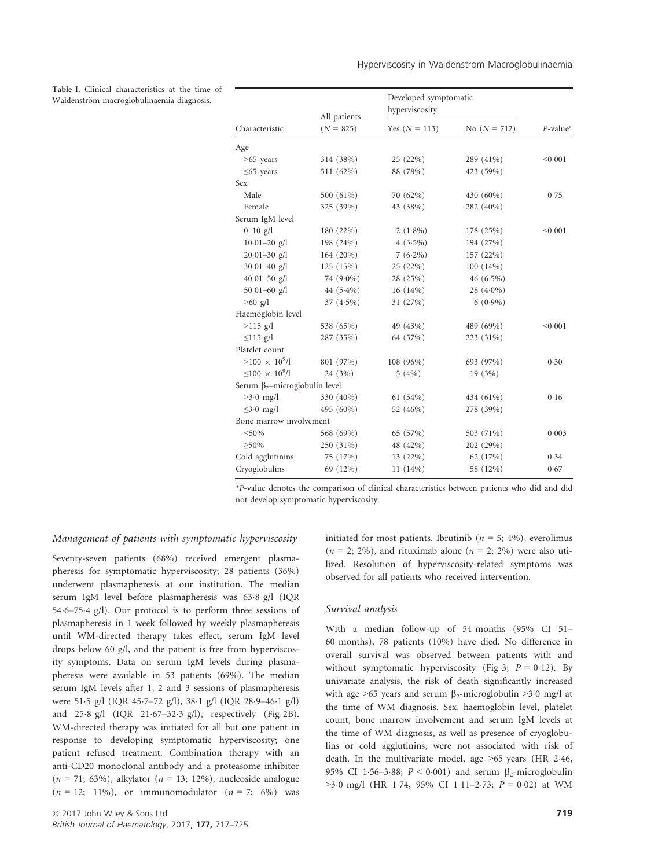Table I. Clinical characteristics at the time of Waldenström macroglobulinaemia diagnosis.

|                                      | All patients<br>$(N = 825)$ | Developed symptomatic<br>hyperviscosity |                |             |
|--------------------------------------|-----------------------------|-----------------------------------------|----------------|-------------|
| Characteristic                       |                             | Yes $(N = 113)$                         | No $(N = 712)$ | $P$ -value* |
| Age                                  |                             |                                         |                |             |
| $>65$ years                          | 314 (38%)                   | 25 (22%)                                | 289 (41%)      | < 0.001     |
| $\leq$ 65 years                      | 511 (62%)                   | 88 (78%)                                | 423 (59%)      |             |
| Sex                                  |                             |                                         |                |             |
| Male                                 | 500 (61%)                   | 70 (62%)                                | 430 (60%)      | 0.75        |
| Female                               | 325 (39%)                   | 43 (38%)                                | 282 (40%)      |             |
| Serum IgM level                      |                             |                                         |                |             |
| $0 - 10$ g/l                         | 180 (22%)                   | $2(1.8\%)$                              | 178 (25%)      | < 0.001     |
| $10.01 - 20$ g/l                     | 198 (24%)                   | $4(3.5\%)$                              | 194 (27%)      |             |
| $20.01 - 30$ g/l                     | 164 (20%)                   | $7(6.2\%)$                              | 157 (22%)      |             |
| $30.01 - 40$ g/l                     | 125 (15%)                   | 25 (22%)                                | $100(14\%)$    |             |
| $40.01 - 50$ g/l                     | 74 (9.0%)                   | 28 (25%)                                | $46(6.5\%)$    |             |
| $50.01 - 60$ g/l                     | 44 $(5.4\%)$                | $16(14\%)$                              | 28 $(4.0\%)$   |             |
| $>60$ g/l                            | $37(4.5\%)$                 | 31 (27%)                                | $6(0.9\%)$     |             |
| Haemoglobin level                    |                             |                                         |                |             |
| $>115$ g/l                           | 538 (65%)                   | 49 (43%)                                | 489 (69%)      | < 0.001     |
| $\leq$ 115 g/l                       | 287 (35%)                   | 64 (57%)                                | 223 (31%)      |             |
| Platelet count                       |                             |                                         |                |             |
| $>100 \times 10^9$ /1                | 801 (97%)                   | 108 (96%)                               | 693 (97%)      | 0.30        |
| $\leq 100 \times 10^9/l$             | 24 (3%)                     | 5(4%)                                   | 19(3%)         |             |
| Serum $\beta_2$ -microglobulin level |                             |                                         |                |             |
| $>3.0$ mg/l                          | 330 (40%)                   | 61(54%)                                 | 434 (61%)      | 0.16        |
| $\leq$ 3.0 mg/l                      | 495 (60%)                   | 52 (46%)                                | 278 (39%)      |             |
| Bone marrow involvement              |                             |                                         |                |             |
| $<$ 50%                              | 568 (69%)                   | 65 (57%)                                | 503 (71%)      | 0.003       |
| $\geq 50\%$                          | 250 (31%)                   | 48 (42%)                                | 202 (29%)      |             |
| Cold agglutinins                     | 75 (17%)                    | 13 (22%)                                | 62 (17%)       | 0.34        |
| Cryoglobulins                        | 69 (12%)                    | $11(14\%)$                              | 58 (12%)       | 0.67        |
|                                      |                             |                                         |                |             |

\*P-value denotes the comparison of clinical characteristics between patients who did and did not develop symptomatic hyperviscosity.

#### Management of patients with symptomatic hyperviscosity

Seventy-seven patients (68%) received emergent plasmapheresis for symptomatic hyperviscosity; 28 patients (36%) underwent plasmapheresis at our institution. The median serum IgM level before plasmapheresis was 63.8 g/l (IQR 546–754 g/l). Our protocol is to perform three sessions of plasmapheresis in 1 week followed by weekly plasmapheresis until WM-directed therapy takes effect, serum IgM level drops below 60 g/l, and the patient is free from hyperviscosity symptoms. Data on serum IgM levels during plasmapheresis were available in 53 patients (69%). The median serum IgM levels after 1, 2 and 3 sessions of plasmapheresis were 51.5 g/l (IQR 45.7-72 g/l), 38.1 g/l (IQR 28.9-46.1 g/l) and 25.8 g/l (IQR 21.67-32.3 g/l), respectively (Fig 2B). WM-directed therapy was initiated for all but one patient in response to developing symptomatic hyperviscosity; one patient refused treatment. Combination therapy with an anti-CD20 monoclonal antibody and a proteasome inhibitor  $(n = 71; 63\%)$ , alkylator  $(n = 13; 12\%)$ , nucleoside analogue  $(n = 12; 11\%)$ , or immunomodulator  $(n = 7; 6\%)$  was

initiated for most patients. Ibrutinib ( $n = 5$ ; 4%), everolimus  $(n = 2, 2\%)$ , and rituximab alone  $(n = 2, 2\%)$  were also utilized. Resolution of hyperviscosity-related symptoms was observed for all patients who received intervention.

#### Survival analysis

With a median follow-up of 54 months (95% CI 51– 60 months), 78 patients (10%) have died. No difference in overall survival was observed between patients with and without symptomatic hyperviscosity (Fig 3;  $P = 0.12$ ). By univariate analysis, the risk of death significantly increased with age >65 years and serum  $\beta_2$ -microglobulin >3.0 mg/l at the time of WM diagnosis. Sex, haemoglobin level, platelet count, bone marrow involvement and serum IgM levels at the time of WM diagnosis, as well as presence of cryoglobulins or cold agglutinins, were not associated with risk of death. In the multivariate model, age >65 years (HR 246, 95% CI 1.56–3.88;  $P < 0.001$ ) and serum  $\beta_2$ -microglobulin  $>3.0$  mg/l (HR 1.74, 95% CI 1.11-2.73;  $P = 0.02$ ) at WM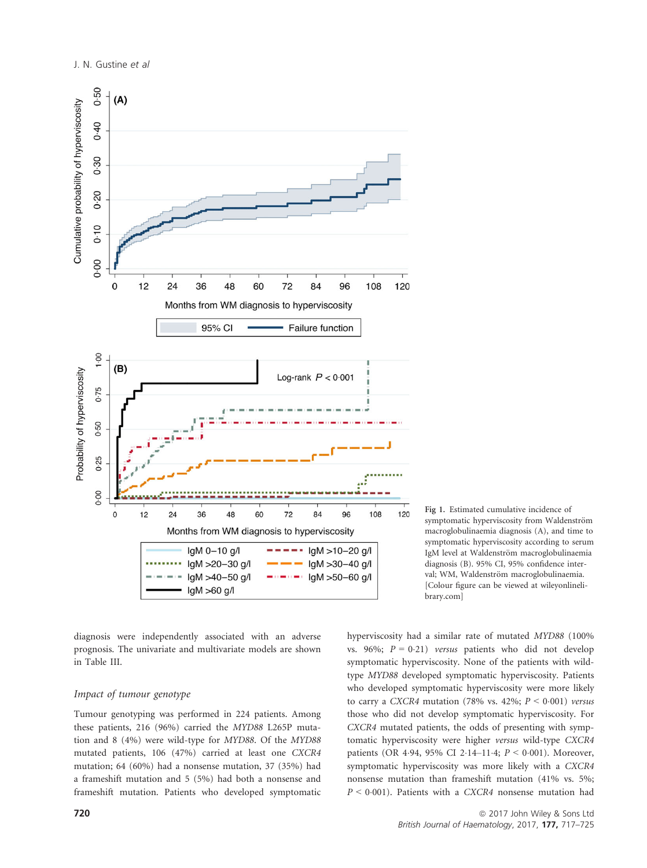

diagnosis were independently associated with an adverse prognosis. The univariate and multivariate models are shown in Table III.

### Impact of tumour genotype

Tumour genotyping was performed in 224 patients. Among these patients, 216 (96%) carried the MYD88 L265P mutation and 8 (4%) were wild-type for MYD88. Of the MYD88 mutated patients, 106 (47%) carried at least one CXCR4 mutation; 64 (60%) had a nonsense mutation, 37 (35%) had a frameshift mutation and 5 (5%) had both a nonsense and frameshift mutation. Patients who developed symptomatic Fig 1. Estimated cumulative incidence of symptomatic hyperviscosity from Waldenström macroglobulinaemia diagnosis (A), and time to symptomatic hyperviscosity according to serum IgM level at Waldenström macroglobulinaemia diagnosis (B). 95% CI, 95% confidence interval; WM, Waldenström macroglobulinaemia. [Colour figure can be viewed at wileyonlinelibrary.com]

hyperviscosity had a similar rate of mutated MYD88 (100% vs. 96%;  $P = 0.21$ ) versus patients who did not develop symptomatic hyperviscosity. None of the patients with wildtype MYD88 developed symptomatic hyperviscosity. Patients who developed symptomatic hyperviscosity were more likely to carry a CXCR4 mutation (78% vs. 42%;  $P < 0.001$ ) versus those who did not develop symptomatic hyperviscosity. For CXCR4 mutated patients, the odds of presenting with symptomatic hyperviscosity were higher versus wild-type CXCR4 patients (OR 4.94, 95% CI 2.14–11.4;  $P < 0.001$ ). Moreover, symptomatic hyperviscosity was more likely with a CXCR4 nonsense mutation than frameshift mutation (41% vs. 5%;  $P < 0.001$ ). Patients with a CXCR4 nonsense mutation had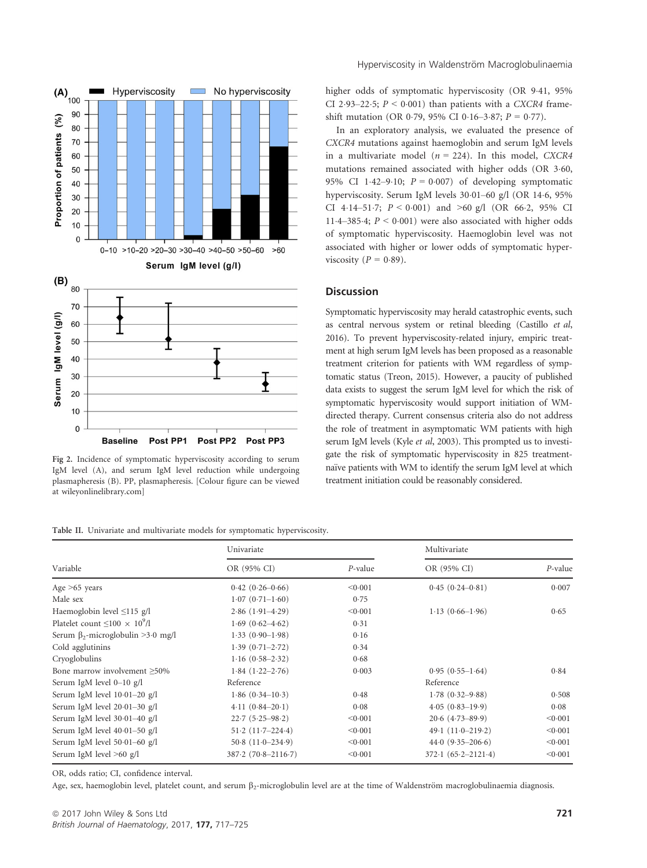

Fig 2. Incidence of symptomatic hyperviscosity according to serum IgM level (A), and serum IgM level reduction while undergoing plasmapheresis (B). PP, plasmapheresis. [Colour figure can be viewed at wileyonlinelibrary.com]

Hyperviscosity in Waldenström Macroglobulinaemia

higher odds of symptomatic hyperviscosity (OR 9-41, 95% CI 2.93-22.5;  $P < 0.001$ ) than patients with a CXCR4 frameshift mutation (OR 0.79, 95% CI 0.16–3.87;  $P = 0.77$ ).

In an exploratory analysis, we evaluated the presence of CXCR4 mutations against haemoglobin and serum IgM levels in a multivariate model ( $n = 224$ ). In this model, CXCR4 mutations remained associated with higher odds (OR 3.60, 95% CI 1.42–9.10;  $P = 0.007$  of developing symptomatic hyperviscosity. Serum IgM levels 30.01-60 g/l (OR 14.6, 95% CI 4.14-51.7;  $P < 0.001$ ) and  $> 60$  g/l (OR 66.2, 95% CI 11.4–385.4;  $P < 0.001$ ) were also associated with higher odds of symptomatic hyperviscosity. Haemoglobin level was not associated with higher or lower odds of symptomatic hyperviscosity ( $P = 0.89$ ).

# **Discussion**

Symptomatic hyperviscosity may herald catastrophic events, such as central nervous system or retinal bleeding (Castillo et al, 2016). To prevent hyperviscosity-related injury, empiric treatment at high serum IgM levels has been proposed as a reasonable treatment criterion for patients with WM regardless of symptomatic status (Treon, 2015). However, a paucity of published data exists to suggest the serum IgM level for which the risk of symptomatic hyperviscosity would support initiation of WMdirected therapy. Current consensus criteria also do not address the role of treatment in asymptomatic WM patients with high serum IgM levels (Kyle et al, 2003). This prompted us to investigate the risk of symptomatic hyperviscosity in 825 treatmentnaïve patients with WM to identify the serum IgM level at which treatment initiation could be reasonably considered.

Table II. Univariate and multivariate models for symptomatic hyperviscosity.

|                                          | Univariate             |            | Multivariate           |         |
|------------------------------------------|------------------------|------------|------------------------|---------|
| Variable                                 | OR (95% CI)            | $P$ -value | OR (95% CI)            | P-value |
| Age $>65$ years                          | $0.42(0.26-0.66)$      | < 0.001    | $0.45(0.24 - 0.81)$    | 0.007   |
| Male sex                                 | $1.07(0.71-1.60)$      | 0.75       |                        |         |
| Haemoglobin level $\leq$ 115 g/l         | $2.86(1.91-4.29)$      | < 0.001    | $1.13(0.66-1.96)$      | 0.65    |
| Platelet count $\leq 100 \times 10^9/l$  | $1.69(0.62 - 4.62)$    | 0.31       |                        |         |
| Serum $\beta_2$ -microglobulin >3.0 mg/l | $1.33(0.90-1.98)$      | 0.16       |                        |         |
| Cold agglutinins                         | $1.39(0.71 - 2.72)$    | 0.34       |                        |         |
| Cryoglobulins                            | $1.16(0.58-2.32)$      | 0.68       |                        |         |
| Bone marrow involvement ≥50%             | $1.84(1.22 - 2.76)$    | 0.003      | $0.95(0.55-1.64)$      | 0.84    |
| Serum IgM level $0-10$ g/l               | Reference              |            | Reference              |         |
| Serum IgM level $10.01-20$ g/l           | $1.86(0.34-10.3)$      | 0.48       | $1.78(0.32 - 9.88)$    | 0.508   |
| Serum IgM level 20-01-30 g/l             | $4.11(0.84 - 20.1)$    | 0.08       | $4.05(0.83-19.9)$      | 0.08    |
| Serum IgM level 30.01-40 g/l             | $22.7(5.25-98.2)$      | < 0.001    | $20.6$ $(4.73 - 89.9)$ | < 0.001 |
| Serum IgM level 40.01-50 g/l             | $51.2(11.7-224.4)$     | < 0.001    | 49.1 $(11.0 - 219.2)$  | < 0.001 |
| Serum IgM level 50.01–60 g/l             | $50.8(11.0-234.9)$     | < 0.001    | $44.0(9.35-206.6)$     | < 0.001 |
| Serum IgM level $>60$ g/l                | $387.2(70.8 - 2116.7)$ | < 0.001    | $372.1(65.2 - 2121.4)$ | < 0.001 |

OR, odds ratio; CI, confidence interval.

Age, sex, haemoglobin level, platelet count, and serum  $\beta_2$ -microglobulin level are at the time of Waldenström macroglobulinaemia diagnosis.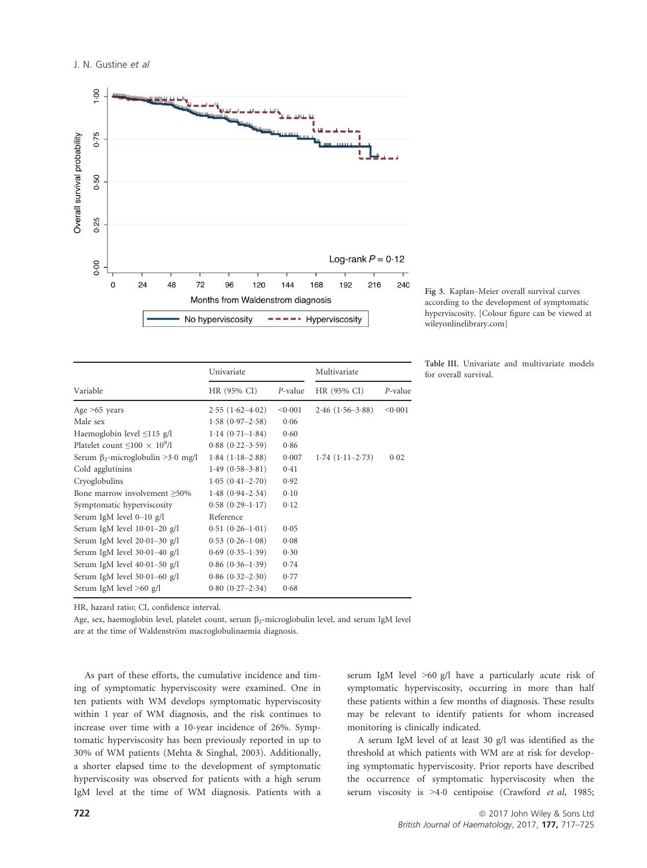

Fig 3. Kaplan–Meier overall survival curves according to the development of symptomatic hyperviscosity. [Colour figure can be viewed at wileyonlinelibrary.com]

|                                          | Univariate           |            | Multivariate      |         |
|------------------------------------------|----------------------|------------|-------------------|---------|
| Variable                                 | HR (95% CI)          | $P$ -value | HR (95% CI)       | P-value |
| Age $>65$ years                          | $2.55(1.62-4.02)$    | < 0.001    | $2.46(1.56-3.88)$ | < 0.001 |
| Male sex                                 | $1.58(0.97-2.58)$    | 0.06       |                   |         |
| Haemoglobin level $\leq$ 115 g/l         | $1.14(0.71-1.84)$    | 0.60       |                   |         |
| Platelet count $\leq 100 \times 10^9/l$  | $0.88(0.22 - 3.59)$  | 0.86       |                   |         |
| Serum $\beta_2$ -microglobulin >3.0 mg/l | $1.84(1.18-2.88)$    | 0.007      | $1.74(1.11-2.73)$ | 0.02    |
| Cold agglutinins                         | $1.49(0.58-3.81)$    | 0.41       |                   |         |
| Cryoglobulins                            | $1.05(0.41-2.70)$    | 0.92       |                   |         |
| Bone marrow involvement $\geq 50\%$      | $1.48(0.94 - 2.34)$  | 0.10       |                   |         |
| Symptomatic hyperviscosity               | $0.58(0.29 - 1.17)$  | 0.12       |                   |         |
| Serum IgM level $0-10$ g/l               | Reference            |            |                   |         |
| Serum IgM level $10.01-20$ g/l           | $0.51(0.26-1.01)$    | 0.05       |                   |         |
| Serum IgM level $20.01-30$ g/l           | $0.53(0.26-1.08)$    | 0.08       |                   |         |
| Serum IgM level $30.01-40$ g/l           | $0.69$ $(0.35-1.39)$ | 0.30       |                   |         |
| Serum IgM level $40.01-50$ g/l           | $0.86(0.36-1.39)$    | 0.74       |                   |         |
| Serum IgM level $50.01 - 60$ g/l         | $0.86(0.32 - 2.30)$  | 0.77       |                   |         |
| Serum IgM level $>60$ g/l                | $0.80(0.27-2.34)$    | 0.68       |                   |         |
|                                          |                      |            |                   |         |

Table III. Univariate and multivariate models for overall survival.

HR, hazard ratio; CI, confidence interval.

Age, sex, haemoglobin level, platelet count, serum B<sub>2</sub>-microglobulin level, and serum IgM level

are at the time of Waldenström macroglobulinaemia diagnosis.

As part of these efforts, the cumulative incidence and timing of symptomatic hyperviscosity were examined. One in ten patients with WM develops symptomatic hyperviscosity within 1 year of WM diagnosis, and the risk continues to increase over time with a 10-year incidence of 26%. Symptomatic hyperviscosity has been previously reported in up to 30% of WM patients (Mehta & Singhal, 2003). Additionally, a shorter elapsed time to the development of symptomatic hyperviscosity was observed for patients with a high serum IgM level at the time of WM diagnosis. Patients with a serum IgM level >60 g/l have a particularly acute risk of symptomatic hyperviscosity, occurring in more than half these patients within a few months of diagnosis. These results may be relevant to identify patients for whom increased monitoring is clinically indicated.

A serum IgM level of at least 30 g/l was identified as the threshold at which patients with WM are at risk for developing symptomatic hyperviscosity. Prior reports have described the occurrence of symptomatic hyperviscosity when the serum viscosity is >4.0 centipoise (Crawford et al, 1985;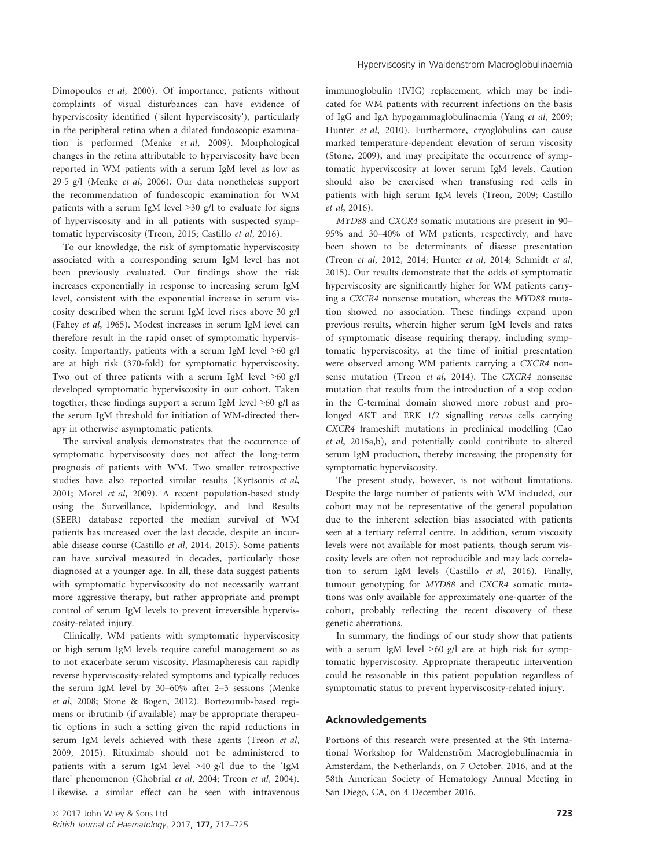Dimopoulos et al, 2000). Of importance, patients without complaints of visual disturbances can have evidence of hyperviscosity identified ('silent hyperviscosity'), particularly in the peripheral retina when a dilated fundoscopic examination is performed (Menke et al, 2009). Morphological changes in the retina attributable to hyperviscosity have been reported in WM patients with a serum IgM level as low as 295 g/l (Menke et al, 2006). Our data nonetheless support the recommendation of fundoscopic examination for WM patients with a serum IgM level >30 g/l to evaluate for signs of hyperviscosity and in all patients with suspected symptomatic hyperviscosity (Treon, 2015; Castillo et al, 2016).

To our knowledge, the risk of symptomatic hyperviscosity associated with a corresponding serum IgM level has not been previously evaluated. Our findings show the risk increases exponentially in response to increasing serum IgM level, consistent with the exponential increase in serum viscosity described when the serum IgM level rises above 30 g/l (Fahey et al, 1965). Modest increases in serum IgM level can therefore result in the rapid onset of symptomatic hyperviscosity. Importantly, patients with a serum IgM level >60 g/l are at high risk (370-fold) for symptomatic hyperviscosity. Two out of three patients with a serum IgM level >60 g/l developed symptomatic hyperviscosity in our cohort. Taken together, these findings support a serum IgM level >60 g/l as the serum IgM threshold for initiation of WM-directed therapy in otherwise asymptomatic patients.

The survival analysis demonstrates that the occurrence of symptomatic hyperviscosity does not affect the long-term prognosis of patients with WM. Two smaller retrospective studies have also reported similar results (Kyrtsonis et al, 2001; Morel et al, 2009). A recent population-based study using the Surveillance, Epidemiology, and End Results (SEER) database reported the median survival of WM patients has increased over the last decade, despite an incurable disease course (Castillo et al, 2014, 2015). Some patients can have survival measured in decades, particularly those diagnosed at a younger age. In all, these data suggest patients with symptomatic hyperviscosity do not necessarily warrant more aggressive therapy, but rather appropriate and prompt control of serum IgM levels to prevent irreversible hyperviscosity-related injury.

Clinically, WM patients with symptomatic hyperviscosity or high serum IgM levels require careful management so as to not exacerbate serum viscosity. Plasmapheresis can rapidly reverse hyperviscosity-related symptoms and typically reduces the serum IgM level by 30–60% after 2–3 sessions (Menke et al, 2008; Stone & Bogen, 2012). Bortezomib-based regimens or ibrutinib (if available) may be appropriate therapeutic options in such a setting given the rapid reductions in serum IgM levels achieved with these agents (Treon et al, 2009, 2015). Rituximab should not be administered to patients with a serum IgM level >40 g/l due to the 'IgM flare' phenomenon (Ghobrial et al, 2004; Treon et al, 2004). Likewise, a similar effect can be seen with intravenous immunoglobulin (IVIG) replacement, which may be indicated for WM patients with recurrent infections on the basis of IgG and IgA hypogammaglobulinaemia (Yang et al, 2009; Hunter et al, 2010). Furthermore, cryoglobulins can cause marked temperature-dependent elevation of serum viscosity (Stone, 2009), and may precipitate the occurrence of symptomatic hyperviscosity at lower serum IgM levels. Caution should also be exercised when transfusing red cells in patients with high serum IgM levels (Treon, 2009; Castillo et al, 2016).

MYD88 and CXCR4 somatic mutations are present in 90– 95% and 30–40% of WM patients, respectively, and have been shown to be determinants of disease presentation (Treon et al, 2012, 2014; Hunter et al, 2014; Schmidt et al, 2015). Our results demonstrate that the odds of symptomatic hyperviscosity are significantly higher for WM patients carrying a CXCR4 nonsense mutation, whereas the MYD88 mutation showed no association. These findings expand upon previous results, wherein higher serum IgM levels and rates of symptomatic disease requiring therapy, including symptomatic hyperviscosity, at the time of initial presentation were observed among WM patients carrying a CXCR4 nonsense mutation (Treon et al, 2014). The CXCR4 nonsense mutation that results from the introduction of a stop codon in the C-terminal domain showed more robust and prolonged AKT and ERK 1/2 signalling versus cells carrying CXCR4 frameshift mutations in preclinical modelling (Cao et al, 2015a,b), and potentially could contribute to altered serum IgM production, thereby increasing the propensity for symptomatic hyperviscosity.

The present study, however, is not without limitations. Despite the large number of patients with WM included, our cohort may not be representative of the general population due to the inherent selection bias associated with patients seen at a tertiary referral centre. In addition, serum viscosity levels were not available for most patients, though serum viscosity levels are often not reproducible and may lack correlation to serum IgM levels (Castillo et al, 2016). Finally, tumour genotyping for MYD88 and CXCR4 somatic mutations was only available for approximately one-quarter of the cohort, probably reflecting the recent discovery of these genetic aberrations.

In summary, the findings of our study show that patients with a serum IgM level  $>60$  g/l are at high risk for symptomatic hyperviscosity. Appropriate therapeutic intervention could be reasonable in this patient population regardless of symptomatic status to prevent hyperviscosity-related injury.

# Acknowledgements

Portions of this research were presented at the 9th International Workshop for Waldenström Macroglobulinaemia in Amsterdam, the Netherlands, on 7 October, 2016, and at the 58th American Society of Hematology Annual Meeting in San Diego, CA, on 4 December 2016.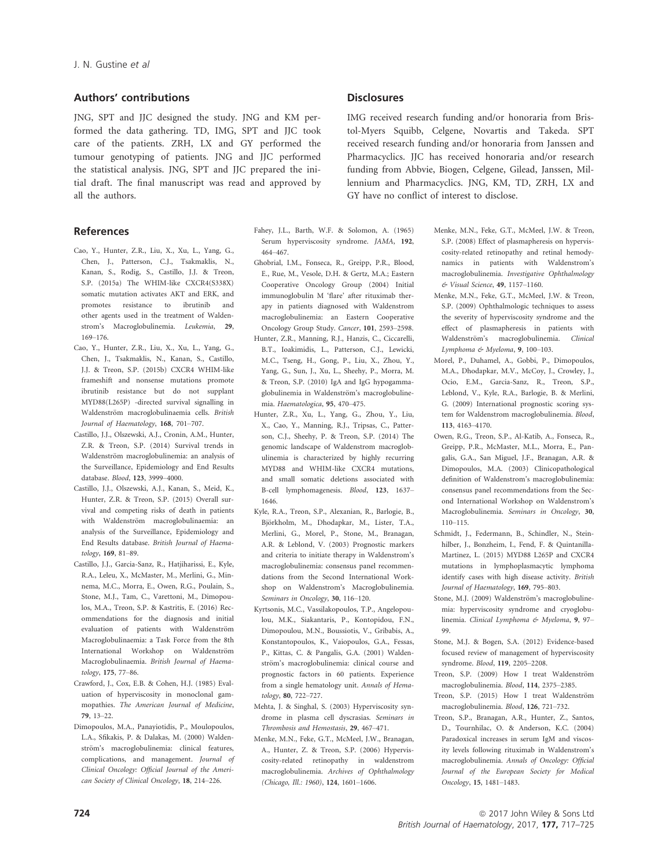# Authors' contributions

JNG, SPT and JJC designed the study. JNG and KM performed the data gathering. TD, IMG, SPT and JJC took care of the patients. ZRH, LX and GY performed the tumour genotyping of patients. JNG and JJC performed the statistical analysis. JNG, SPT and JJC prepared the initial draft. The final manuscript was read and approved by all the authors.

## References

- Cao, Y., Hunter, Z.R., Liu, X., Xu, L., Yang, G., Chen, J., Patterson, C.J., Tsakmaklis, N., Kanan, S., Rodig, S., Castillo, J.J. & Treon, S.P. (2015a) The WHIM-like CXCR4(S338X) somatic mutation activates AKT and ERK, and promotes resistance to ibrutinib and other agents used in the treatment of Waldenstrom's Macroglobulinemia. Leukemia, 29, 169–176.
- Cao, Y., Hunter, Z.R., Liu, X., Xu, L., Yang, G., Chen, J., Tsakmaklis, N., Kanan, S., Castillo, J.J. & Treon, S.P. (2015b) CXCR4 WHIM-like frameshift and nonsense mutations promote ibrutinib resistance but do not supplant MYD88(L265P) -directed survival signalling in Waldenström macroglobulinaemia cells. British Journal of Haematology, 168, 701–707.
- Castillo, J.J., Olszewski, A.J., Cronin, A.M., Hunter, Z.R. & Treon, S.P. (2014) Survival trends in Waldenström macroglobulinemia: an analysis of the Surveillance, Epidemiology and End Results database. Blood, 123, 3999–4000.
- Castillo, J.J., Olszewski, A.J., Kanan, S., Meid, K., Hunter, Z.R. & Treon, S.P. (2015) Overall survival and competing risks of death in patients with Waldenström macroglobulinaemia: an analysis of the Surveillance, Epidemiology and End Results database. British Journal of Haematology, 169, 81–89.
- Castillo, J.J., Garcia-Sanz, R., Hatjiharissi, E., Kyle, R.A., Leleu, X., McMaster, M., Merlini, G., Minnema, M.C., Morra, E., Owen, R.G., Poulain, S., Stone, M.J., Tam, C., Varettoni, M., Dimopoulos, M.A., Treon, S.P. & Kastritis, E. (2016) Recommendations for the diagnosis and initial evaluation of patients with Waldenström Macroglobulinaemia: a Task Force from the 8th International Workshop on Waldenström Macroglobulinaemia. British Journal of Haematology, 175, 77–86.
- Crawford, J., Cox, E.B. & Cohen, H.J. (1985) Evaluation of hyperviscosity in monoclonal gammopathies. The American Journal of Medicine, 79, 13–22.
- Dimopoulos, M.A., Panayiotidis, P., Moulopoulos, L.A., Sfikakis, P. & Dalakas, M. (2000) Waldenström's macroglobulinemia: clinical features, complications, and management. Journal of Clinical Oncology: Official Journal of the American Society of Clinical Oncology, 18, 214–226.

# **Disclosures**

IMG received research funding and/or honoraria from Bristol-Myers Squibb, Celgene, Novartis and Takeda. SPT received research funding and/or honoraria from Janssen and Pharmacyclics. JJC has received honoraria and/or research funding from Abbvie, Biogen, Celgene, Gilead, Janssen, Millennium and Pharmacyclics. JNG, KM, TD, ZRH, LX and GY have no conflict of interest to disclose.

- Fahey, J.L., Barth, W.F. & Solomon, A. (1965) Serum hyperviscosity syndrome. JAMA, 192, 464–467.
- Ghobrial, I.M., Fonseca, R., Greipp, P.R., Blood, E., Rue, M., Vesole, D.H. & Gertz, M.A.; Eastern Cooperative Oncology Group (2004) Initial immunoglobulin M 'flare' after rituximab therapy in patients diagnosed with Waldenstrom macroglobulinemia: an Eastern Cooperative Oncology Group Study. Cancer, 101, 2593–2598.
- Hunter, Z.R., Manning, R.J., Hanzis, C., Ciccarelli, B.T., Ioakimidis, L., Patterson, C.J., Lewicki, M.C., Tseng, H., Gong, P., Liu, X., Zhou, Y., Yang, G., Sun, J., Xu, L., Sheehy, P., Morra, M. & Treon, S.P. (2010) IgA and IgG hypogammaglobulinemia in Waldenström's macroglobulinemia. Haematologica, 95, 470–475.
- Hunter, Z.R., Xu, L., Yang, G., Zhou, Y., Liu, X., Cao, Y., Manning, R.J., Tripsas, C., Patterson, C.J., Sheehy, P. & Treon, S.P. (2014) The genomic landscape of Waldenstrom macroglobulinemia is characterized by highly recurring MYD88 and WHIM-like CXCR4 mutations, and small somatic deletions associated with B-cell lymphomagenesis. Blood, 123, 1637– 1646.
- Kyle, R.A., Treon, S.P., Alexanian, R., Barlogie, B., Björkholm, M., Dhodapkar, M., Lister, T.A., Merlini, G., Morel, P., Stone, M., Branagan, A.R. & Leblond, V. (2003) Prognostic markers and criteria to initiate therapy in Waldenstrom's macroglobulinemia: consensus panel recommendations from the Second International Workshop on Waldenstrom's Macroglobulinemia. Seminars in Oncology, 30, 116–120.
- Kyrtsonis, M.C., Vassilakopoulos, T.P., Angelopoulou, M.K., Siakantaris, P., Kontopidou, F.N., Dimopoulou, M.N., Boussiotis, V., Gribabis, A., Konstantopoulos, K., Vaiopoulos, G.A., Fessas, P., Kittas, C. & Pangalis, G.A. (2001) Waldenström's macroglobulinemia: clinical course and prognostic factors in 60 patients. Experience from a single hematology unit. Annals of Hematology, 80, 722–727.
- Mehta, J. & Singhal, S. (2003) Hyperviscosity syndrome in plasma cell dyscrasias. Seminars in Thrombosis and Hemostasis, 29, 467–471.
- Menke, M.N., Feke, G.T., McMeel, J.W., Branagan, A., Hunter, Z. & Treon, S.P. (2006) Hyperviscosity-related retinopathy in waldenstrom macroglobulinemia. Archives of Ophthalmology (Chicago, Ill.: 1960), 124, 1601–1606.
- Menke, M.N., Feke, G.T., McMeel, J.W. & Treon, S.P. (2008) Effect of plasmapheresis on hyperviscosity-related retinopathy and retinal hemodynamics in patients with Waldenstrom's macroglobulinemia. Investigative Ophthalmology & Visual Science, 49, 1157–1160.
- Menke, M.N., Feke, G.T., McMeel, J.W. & Treon, S.P. (2009) Ophthalmologic techniques to assess the severity of hyperviscosity syndrome and the effect of plasmapheresis in patients with Waldenström's macroglobulinemia. Clinical Lymphoma & Myeloma, 9, 100–103.
- Morel, P., Duhamel, A., Gobbi, P., Dimopoulos, M.A., Dhodapkar, M.V., McCoy, J., Crowley, J., Ocio, E.M., Garcia-Sanz, R., Treon, S.P., Leblond, V., Kyle, R.A., Barlogie, B. & Merlini, G. (2009) International prognostic scoring system for Waldenstrom macroglobulinemia. Blood, 113, 4163–4170.
- Owen, R.G., Treon, S.P., Al-Katib, A., Fonseca, R., Greipp, P.R., McMaster, M.L., Morra, E., Pangalis, G.A., San Miguel, J.F., Branagan, A.R. & Dimopoulos, M.A. (2003) Clinicopathological definition of Waldenstrom's macroglobulinemia: consensus panel recommendations from the Second International Workshop on Waldenstrom's Macroglobulinemia. Seminars in Oncology, 30, 110–115.
- Schmidt, J., Federmann, B., Schindler, N., Steinhilber, J., Bonzheim, I., Fend, F. & Quintanilla-Martinez, L. (2015) MYD88 L265P and CXCR4 mutations in lymphoplasmacytic lymphoma identify cases with high disease activity. British Journal of Haematology, 169, 795–803.
- Stone, M.J. (2009) Waldenström's macroglobulinemia: hyperviscosity syndrome and cryoglobulinemia. Clinical Lymphoma & Myeloma, 9, 97– 99.
- Stone, M.J. & Bogen, S.A. (2012) Evidence-based focused review of management of hyperviscosity syndrome. Blood, 119, 2205–2208.
- Treon, S.P. (2009) How I treat Waldenström macroglobulinemia. Blood, 114, 2375–2385.
- Treon, S.P. (2015) How I treat Waldenström macroglobulinemia. Blood, 126, 721–732.
- Treon, S.P., Branagan, A.R., Hunter, Z., Santos, D., Tournhilac, O. & Anderson, K.C. (2004) Paradoxical increases in serum IgM and viscosity levels following rituximab in Waldenstrom's macroglobulinemia. Annals of Oncology: Official Journal of the European Society for Medical Oncology, 15, 1481–1483.